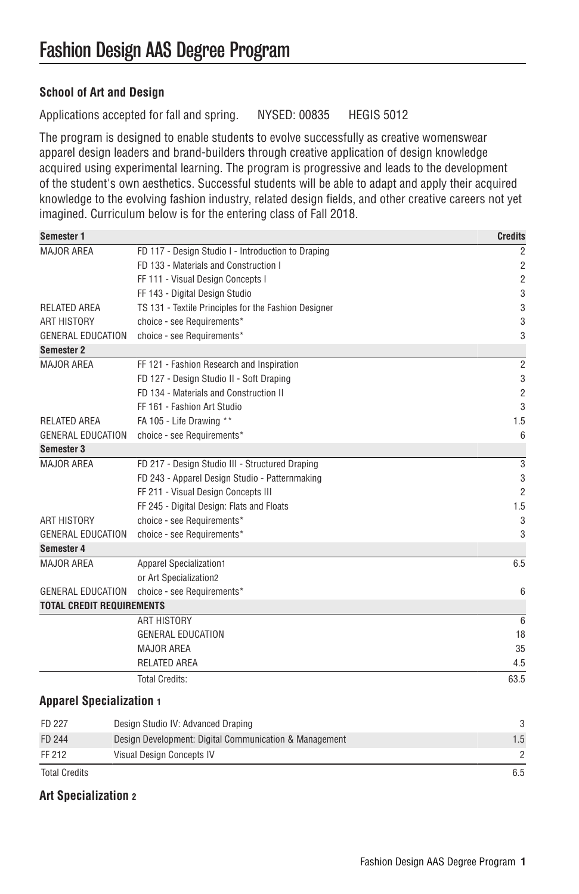# **School of Art and Design**

Applications accepted for fall and spring. NYSED: 00835 HEGIS 5012

The program is designed to enable students to evolve successfully as creative womenswear apparel design leaders and brand-builders through creative application of design knowledge acquired using experimental learning. The program is progressive and leads to the development of the student's own aesthetics. Successful students will be able to adapt and apply their acquired knowledge to the evolving fashion industry, related design fields, and other creative careers not yet imagined. Curriculum below is for the entering class of Fall 2018.

|                                                               | <b>Credits</b>  |
|---------------------------------------------------------------|-----------------|
| FD 117 - Design Studio I - Introduction to Draping            | 2               |
| FD 133 - Materials and Construction I                         | $\overline{2}$  |
| FF 111 - Visual Design Concepts I                             | $\overline{c}$  |
| FF 143 - Digital Design Studio                                | 3               |
| TS 131 - Textile Principles for the Fashion Designer          | 3               |
| choice - see Requirements*                                    | 3               |
| choice - see Requirements*                                    | 3               |
|                                                               |                 |
| FF 121 - Fashion Research and Inspiration                     | $\overline{2}$  |
| FD 127 - Design Studio II - Soft Draping                      | 3               |
| FD 134 - Materials and Construction II                        | $\overline{c}$  |
| FF 161 - Fashion Art Studio                                   | 3               |
| FA 105 - Life Drawing **                                      | 1.5             |
| choice - see Requirements*                                    | 6               |
|                                                               |                 |
| FD 217 - Design Studio III - Structured Draping               | 3               |
| FD 243 - Apparel Design Studio - Patternmaking                | 3               |
| FF 211 - Visual Design Concepts III                           | $\overline{2}$  |
| FF 245 - Digital Design: Flats and Floats                     | 1.5             |
| choice - see Requirements*                                    | 3               |
| choice - see Requirements*                                    | 3               |
|                                                               |                 |
| <b>Apparel Specialization1</b>                                | 6.5             |
| or Art Specialization2                                        |                 |
| choice - see Requirements*                                    | 6               |
| <b>TOTAL CREDIT REQUIREMENTS</b>                              |                 |
| <b>ART HISTORY</b>                                            | $6\phantom{1}6$ |
| <b>GENERAL EDUCATION</b>                                      | 18              |
| <b>MAJOR AREA</b>                                             | 35              |
| RELATED AREA                                                  | 4.5             |
| <b>Total Credits:</b>                                         | 63.5            |
| <b>Apparel Specialization 1</b>                               |                 |
| Design Studio IV: Advanced Draping                            | 3               |
| Design Development: Digital Communication & Management<br>1.5 |                 |
| Visual Design Concepts IV                                     | $\overline{c}$  |
|                                                               |                 |

Total Credits 6.5

**Art Specialization 2**